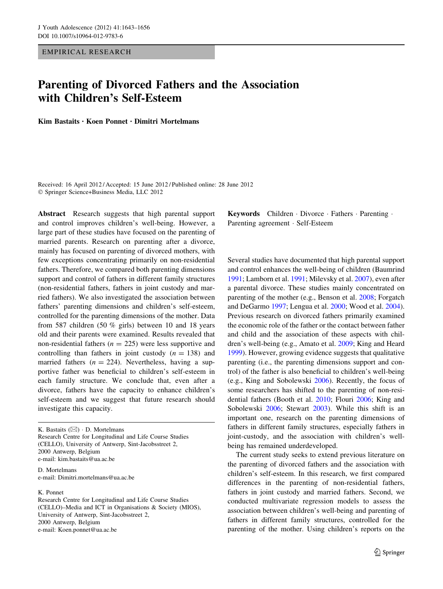EMPIRICAL RESEARCH

# Parenting of Divorced Fathers and the Association with Children's Self-Esteem

Kim Bastaits • Koen Ponnet • Dimitri Mortelmans

Received: 16 April 2012 / Accepted: 15 June 2012 / Published online: 28 June 2012 - Springer Science+Business Media, LLC 2012

Abstract Research suggests that high parental support and control improves children's well-being. However, a large part of these studies have focused on the parenting of married parents. Research on parenting after a divorce, mainly has focused on parenting of divorced mothers, with few exceptions concentrating primarily on non-residential fathers. Therefore, we compared both parenting dimensions support and control of fathers in different family structures (non-residential fathers, fathers in joint custody and married fathers). We also investigated the association between fathers' parenting dimensions and children's self-esteem, controlled for the parenting dimensions of the mother. Data from 587 children (50 % girls) between 10 and 18 years old and their parents were examined. Results revealed that non-residential fathers ( $n = 225$ ) were less supportive and controlling than fathers in joint custody  $(n = 138)$  and married fathers  $(n = 224)$ . Nevertheless, having a supportive father was beneficial to children's self-esteem in each family structure. We conclude that, even after a divorce, fathers have the capacity to enhance children's self-esteem and we suggest that future research should investigate this capacity.

K. Bastaits  $(\boxtimes) \cdot$  D. Mortelmans Research Centre for Longitudinal and Life Course Studies (CELLO), University of Antwerp, Sint-Jacobsstreet 2, 2000 Antwerp, Belgium e-mail: kim.bastaits@ua.ac.be

D. Mortelmans e-mail: Dimitri.mortelmans@ua.ac.be

K. Ponnet

Research Centre for Longitudinal and Life Course Studies (CELLO)–Media and ICT in Organisations & Society (MIOS), University of Antwerp, Sint-Jacobsstreet 2, 2000 Antwerp, Belgium e-mail: Koen.ponnet@ua.ac.be

Keywords Children · Divorce · Fathers · Parenting · Parenting agreement · Self-Esteem

Several studies have documented that high parental support and control enhances the well-being of children (Baumrind 1991; Lamborn et al. 1991; Milevsky et al. 2007), even after a parental divorce. These studies mainly concentrated on parenting of the mother (e.g., Benson et al. 2008; Forgatch and DeGarmo 1997; Lengua et al. 2000; Wood et al. 2004). Previous research on divorced fathers primarily examined the economic role of the father or the contact between father and child and the association of these aspects with children's well-being (e.g., Amato et al. 2009; King and Heard 1999). However, growing evidence suggests that qualitative parenting (i.e., the parenting dimensions support and control) of the father is also beneficial to children's well-being (e.g., King and Sobolewski 2006). Recently, the focus of some researchers has shifted to the parenting of non-residential fathers (Booth et al. 2010; Flouri 2006; King and Sobolewski 2006; Stewart 2003). While this shift is an important one, research on the parenting dimensions of fathers in different family structures, especially fathers in joint-custody, and the association with children's wellbeing has remained underdeveloped.

The current study seeks to extend previous literature on the parenting of divorced fathers and the association with children's self-esteem. In this research, we first compared differences in the parenting of non-residential fathers, fathers in joint custody and married fathers. Second, we conducted multivariate regression models to assess the association between children's well-being and parenting of fathers in different family structures, controlled for the parenting of the mother. Using children's reports on the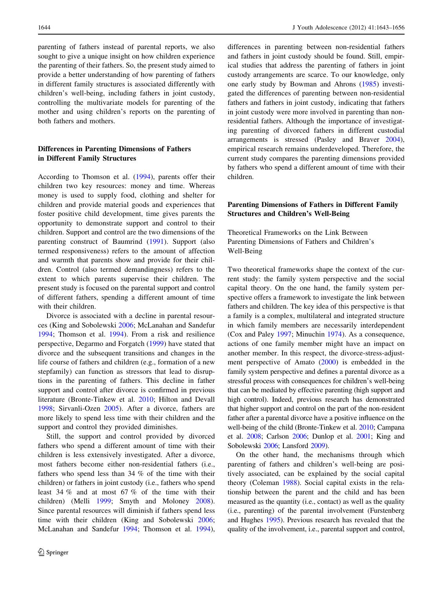parenting of fathers instead of parental reports, we also sought to give a unique insight on how children experience the parenting of their fathers. So, the present study aimed to provide a better understanding of how parenting of fathers in different family structures is associated differently with children's well-being, including fathers in joint custody, controlling the multivariate models for parenting of the mother and using children's reports on the parenting of both fathers and mothers.

## Differences in Parenting Dimensions of Fathers in Different Family Structures

According to Thomson et al. (1994), parents offer their children two key resources: money and time. Whereas money is used to supply food, clothing and shelter for children and provide material goods and experiences that foster positive child development, time gives parents the opportunity to demonstrate support and control to their children. Support and control are the two dimensions of the parenting construct of Baumrind (1991). Support (also termed responsiveness) refers to the amount of affection and warmth that parents show and provide for their children. Control (also termed demandingness) refers to the extent to which parents supervise their children. The present study is focused on the parental support and control of different fathers, spending a different amount of time with their children.

Divorce is associated with a decline in parental resources (King and Sobolewski 2006; McLanahan and Sandefur 1994; Thomson et al. 1994). From a risk and resilience perspective, Degarmo and Forgatch (1999) have stated that divorce and the subsequent transitions and changes in the life course of fathers and children (e.g., formation of a new stepfamily) can function as stressors that lead to disruptions in the parenting of fathers. This decline in father support and control after divorce is confirmed in previous literature (Bronte-Tinkew et al. 2010; Hilton and Devall 1998; Sirvanli-Ozen 2005). After a divorce, fathers are more likely to spend less time with their children and the support and control they provided diminishes.

Still, the support and control provided by divorced fathers who spend a different amount of time with their children is less extensively investigated. After a divorce, most fathers become either non-residential fathers (i.e., fathers who spend less than 34 % of the time with their children) or fathers in joint custody (i.e., fathers who spend least 34 % and at most 67 % of the time with their children) (Melli 1999; Smyth and Moloney 2008). Since parental resources will diminish if fathers spend less time with their children (King and Sobolewski 2006; McLanahan and Sandefur 1994; Thomson et al. 1994), differences in parenting between non-residential fathers and fathers in joint custody should be found. Still, empirical studies that address the parenting of fathers in joint custody arrangements are scarce. To our knowledge, only one early study by Bowman and Ahrons (1985) investigated the differences of parenting between non-residential fathers and fathers in joint custody, indicating that fathers in joint custody were more involved in parenting than nonresidential fathers. Although the importance of investigating parenting of divorced fathers in different custodial arrangements is stressed (Pasley and Braver 2004), empirical research remains underdeveloped. Therefore, the current study compares the parenting dimensions provided by fathers who spend a different amount of time with their children.

## Parenting Dimensions of Fathers in Different Family Structures and Children's Well-Being

Theoretical Frameworks on the Link Between Parenting Dimensions of Fathers and Children's Well-Being

Two theoretical frameworks shape the context of the current study: the family system perspective and the social capital theory. On the one hand, the family system perspective offers a framework to investigate the link between fathers and children. The key idea of this perspective is that a family is a complex, multilateral and integrated structure in which family members are necessarily interdependent (Cox and Paley 1997; Minuchin 1974). As a consequence, actions of one family member might have an impact on another member. In this respect, the divorce-stress-adjustment perspective of Amato (2000) is embedded in the family system perspective and defines a parental divorce as a stressful process with consequences for children's well-being that can be mediated by effective parenting (high support and high control). Indeed, previous research has demonstrated that higher support and control on the part of the non-resident father after a parental divorce have a positive influence on the well-being of the child (Bronte-Tinkew et al. 2010; Campana et al. 2008; Carlson 2006; Dunlop et al. 2001; King and Sobolewski 2006; Lansford 2009).

On the other hand, the mechanisms through which parenting of fathers and children's well-being are positively associated, can be explained by the social capital theory (Coleman 1988). Social capital exists in the relationship between the parent and the child and has been measured as the quantity (i.e., contact) as well as the quality (i.e., parenting) of the parental involvement (Furstenberg and Hughes 1995). Previous research has revealed that the quality of the involvement, i.e., parental support and control,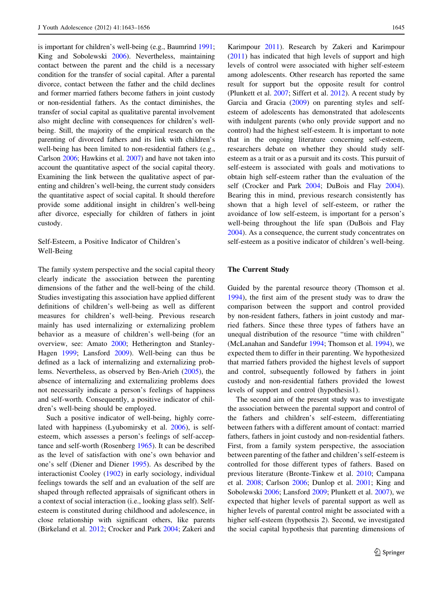is important for children's well-being (e.g., Baumrind 1991; King and Sobolewski 2006). Nevertheless, maintaining contact between the parent and the child is a necessary condition for the transfer of social capital. After a parental divorce, contact between the father and the child declines and former married fathers become fathers in joint custody or non-residential fathers. As the contact diminishes, the transfer of social capital as qualitative parental involvement also might decline with consequences for children's wellbeing. Still, the majority of the empirical research on the parenting of divorced fathers and its link with children's well-being has been limited to non-residential fathers (e.g., Carlson 2006; Hawkins et al. 2007) and have not taken into account the quantitative aspect of the social capital theory. Examining the link between the qualitative aspect of parenting and children's well-being, the current study considers the quantitative aspect of social capital. It should therefore provide some additional insight in children's well-being after divorce, especially for children of fathers in joint custody.

Self-Esteem, a Positive Indicator of Children's Well-Being

The family system perspective and the social capital theory clearly indicate the association between the parenting dimensions of the father and the well-being of the child. Studies investigating this association have applied different definitions of children's well-being as well as different measures for children's well-being. Previous research mainly has used internalizing or externalizing problem behavior as a measure of children's well-being (for an overview, see: Amato 2000; Hetherington and Stanley-Hagen 1999; Lansford 2009). Well-being can thus be defined as a lack of internalizing and externalizing problems. Nevertheless, as observed by Ben-Arieh (2005), the absence of internalizing and externalizing problems does not necessarily indicate a person's feelings of happiness and self-worth. Consequently, a positive indicator of children's well-being should be employed.

Such a positive indicator of well-being, highly correlated with happiness (Lyubomirsky et al. 2006), is selfesteem, which assesses a person's feelings of self-acceptance and self-worth (Rosenberg 1965). It can be described as the level of satisfaction with one's own behavior and one's self (Diener and Diener 1995). As described by the interactionist Cooley (1902) in early sociology, individual feelings towards the self and an evaluation of the self are shaped through reflected appraisals of significant others in a context of social interaction (i.e., looking glass self). Selfesteem is constituted during childhood and adolescence, in close relationship with significant others, like parents (Birkeland et al. 2012; Crocker and Park 2004; Zakeri and

Karimpour 2011). Research by Zakeri and Karimpour (2011) has indicated that high levels of support and high levels of control were associated with higher self-esteem among adolescents. Other research has reported the same result for support but the opposite result for control (Plunkett et al. 2007; Siffert et al. 2012). A recent study by Garcia and Gracia (2009) on parenting styles and selfesteem of adolescents has demonstrated that adolescents with indulgent parents (who only provide support and no control) had the highest self-esteem. It is important to note that in the ongoing literature concerning self-esteem, researchers debate on whether they should study selfesteem as a trait or as a pursuit and its costs. This pursuit of self-esteem is associated with goals and motivations to obtain high self-esteem rather than the evaluation of the self (Crocker and Park 2004; DuBois and Flay 2004). Bearing this in mind, previous research consistently has shown that a high level of self-esteem, or rather the avoidance of low self-esteem, is important for a person's well-being throughout the life span (DuBois and Flay 2004). As a consequence, the current study concentrates on self-esteem as a positive indicator of children's well-being.

#### The Current Study

Guided by the parental resource theory (Thomson et al. 1994), the first aim of the present study was to draw the comparison between the support and control provided by non-resident fathers, fathers in joint custody and married fathers. Since these three types of fathers have an unequal distribution of the resource ''time with children'' (McLanahan and Sandefur 1994; Thomson et al. 1994), we expected them to differ in their parenting. We hypothesized that married fathers provided the highest levels of support and control, subsequently followed by fathers in joint custody and non-residential fathers provided the lowest levels of support and control (hypothesis1).

The second aim of the present study was to investigate the association between the parental support and control of the fathers and children's self-esteem, differentiating between fathers with a different amount of contact: married fathers, fathers in joint custody and non-residential fathers. First, from a family system perspective, the association between parenting of the father and children's self-esteem is controlled for those different types of fathers. Based on previous literature (Bronte-Tinkew et al. 2010; Campana et al. 2008; Carlson 2006; Dunlop et al. 2001; King and Sobolewski 2006; Lansford 2009; Plunkett et al. 2007), we expected that higher levels of parental support as well as higher levels of parental control might be associated with a higher self-esteem (hypothesis 2). Second, we investigated the social capital hypothesis that parenting dimensions of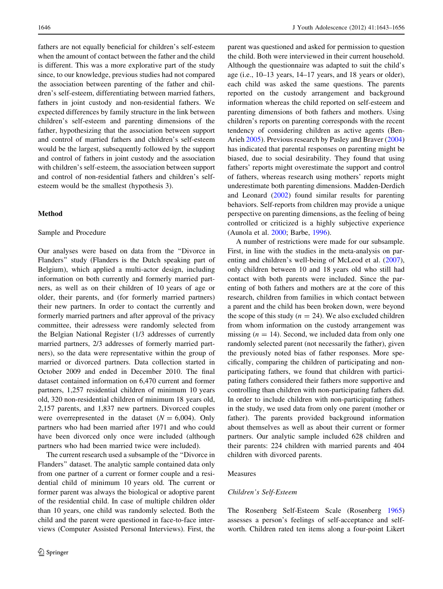fathers are not equally beneficial for children's self-esteem when the amount of contact between the father and the child is different. This was a more explorative part of the study since, to our knowledge, previous studies had not compared the association between parenting of the father and children's self-esteem, differentiating between married fathers, fathers in joint custody and non-residential fathers. We expected differences by family structure in the link between children's self-esteem and parenting dimensions of the father, hypothesizing that the association between support and control of married fathers and children's self-esteem would be the largest, subsequently followed by the support and control of fathers in joint custody and the association with children's self-esteem, the association between support and control of non-residential fathers and children's selfesteem would be the smallest (hypothesis 3).

#### Method

#### Sample and Procedure

Our analyses were based on data from the ''Divorce in Flanders'' study (Flanders is the Dutch speaking part of Belgium), which applied a multi-actor design, including information on both currently and formerly married partners, as well as on their children of 10 years of age or older, their parents, and (for formerly married partners) their new partners. In order to contact the currently and formerly married partners and after approval of the privacy committee, their adressess were randomly selected from the Belgian National Register (1/3 addresses of currently married partners, 2/3 addresses of formerly married partners), so the data were representative within the group of married or divorced partners. Data collection started in October 2009 and ended in December 2010. The final dataset contained information on 6,470 current and former partners, 1,257 residential children of minimum 10 years old, 320 non-residential children of minimum 18 years old, 2,157 parents, and 1,837 new partners. Divorced couples were overrepresented in the dataset  $(N = 6,004)$ . Only partners who had been married after 1971 and who could have been divorced only once were included (although partners who had been married twice were included).

The current research used a subsample of the ''Divorce in Flanders'' dataset. The analytic sample contained data only from one partner of a current or former couple and a residential child of minimum 10 years old. The current or former parent was always the biological or adoptive parent of the residential child. In case of multiple children older than 10 years, one child was randomly selected. Both the child and the parent were questioned in face-to-face interviews (Computer Assisted Personal Interviews). First, the parent was questioned and asked for permission to question the child. Both were interviewed in their current household. Although the questionnaire was adapted to suit the child's age (i.e., 10–13 years, 14–17 years, and 18 years or older), each child was asked the same questions. The parents reported on the custody arrangement and background information whereas the child reported on self-esteem and parenting dimensions of both fathers and mothers. Using children's reports on parenting corresponds with the recent tendency of considering children as active agents (Ben-Arieh 2005). Previous research by Pasley and Braver (2004) has indicated that parental responses on parenting might be biased, due to social desirability. They found that using fathers' reports might overestimate the support and control of fathers, whereas research using mothers' reports might underestimate both parenting dimensions. Madden-Derdich and Leonard (2002) found similar results for parenting behaviors. Self-reports from children may provide a unique perspective on parenting dimensions, as the feeling of being controlled or criticized is a highly subjective experience (Aunola et al. 2000; Barbe, 1996).

A number of restrictions were made for our subsample. First, in line with the studies in the meta-analysis on parenting and children's well-being of McLeod et al. (2007), only children between 10 and 18 years old who still had contact with both parents were included. Since the parenting of both fathers and mothers are at the core of this research, children from families in which contact between a parent and the child has been broken down, were beyond the scope of this study ( $n = 24$ ). We also excluded children from whom information on the custody arrangement was missing  $(n = 14)$ . Second, we included data from only one randomly selected parent (not necessarily the father), given the previously noted bias of father responses. More specifically, comparing the children of participating and nonparticipating fathers, we found that children with participating fathers considered their fathers more supportive and controlling than children with non-participating fathers did. In order to include children with non-participating fathers in the study, we used data from only one parent (mother or father). The parents provided background information about themselves as well as about their current or former partners. Our analytic sample included 628 children and their parents: 224 children with married parents and 404 children with divorced parents.

#### Measures

#### Children's Self-Esteem

The Rosenberg Self-Esteem Scale (Rosenberg 1965) assesses a person's feelings of self-acceptance and selfworth. Children rated ten items along a four-point Likert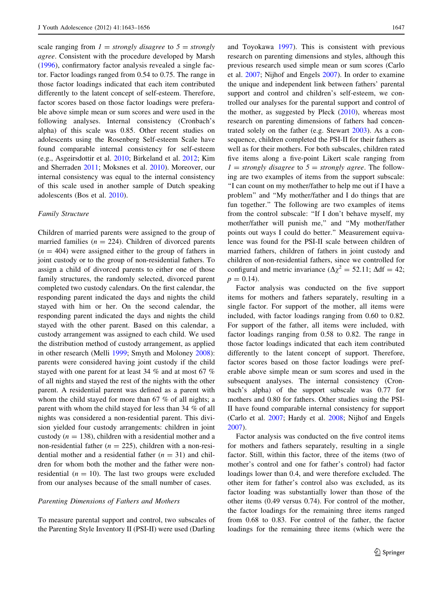scale ranging from  $l =$  strongly disagree to  $5 =$  strongly agree. Consistent with the procedure developed by Marsh (1996), confirmatory factor analysis revealed a single factor. Factor loadings ranged from 0.54 to 0.75. The range in those factor loadings indicated that each item contributed differently to the latent concept of self-esteem. Therefore, factor scores based on those factor loadings were preferable above simple mean or sum scores and were used in the following analyses. Internal consistency (Cronbach's alpha) of this scale was 0.85. Other recent studies on adolescents using the Rosenberg Self-esteem Scale have found comparable internal consistency for self-esteem (e.g., Asgeirsdottir et al. 2010; Birkeland et al. 2012; Kim and Sherraden 2011; Moksnes et al. 2010). Moreover, our internal consistency was equal to the internal consistency of this scale used in another sample of Dutch speaking adolescents (Bos et al. 2010).

#### Family Structure

Children of married parents were assigned to the group of married families ( $n = 224$ ). Children of divorced parents  $(n = 404)$  were assigned either to the group of fathers in joint custody or to the group of non-residential fathers. To assign a child of divorced parents to either one of those family structures, the randomly selected, divorced parent completed two custody calendars. On the first calendar, the responding parent indicated the days and nights the child stayed with him or her. On the second calendar, the responding parent indicated the days and nights the child stayed with the other parent. Based on this calendar, a custody arrangement was assigned to each child. We used the distribution method of custody arrangement, as applied in other research (Melli 1999; Smyth and Moloney 2008): parents were considered having joint custody if the child stayed with one parent for at least 34 % and at most 67 % of all nights and stayed the rest of the nights with the other parent. A residential parent was defined as a parent with whom the child stayed for more than 67 % of all nights; a parent with whom the child stayed for less than 34 % of all nights was considered a non-residential parent. This division yielded four custody arrangements: children in joint custody ( $n = 138$ ), children with a residential mother and a non-residential father ( $n = 225$ ), children with a non-residential mother and a residential father  $(n = 31)$  and children for whom both the mother and the father were nonresidential ( $n = 10$ ). The last two groups were excluded from our analyses because of the small number of cases.

#### Parenting Dimensions of Fathers and Mothers

To measure parental support and control, two subscales of the Parenting Style Inventory II (PSI-II) were used (Darling and Toyokawa 1997). This is consistent with previous research on parenting dimensions and styles, although this previous research used simple mean or sum scores (Carlo et al. 2007; Nijhof and Engels 2007). In order to examine the unique and independent link between fathers' parental support and control and children's self-esteem, we controlled our analyses for the parental support and control of the mother, as suggested by Pleck (2010), whereas most research on parenting dimensions of fathers had concentrated solely on the father (e.g. Stewart 2003). As a consequence, children completed the PSI-II for their fathers as well as for their mothers. For both subscales, children rated five items along a five-point Likert scale ranging from  $1 =$  strongly disagree to  $5 =$  strongly agree. The following are two examples of items from the support subscale: ''I can count on my mother/father to help me out if I have a problem'' and ''My mother/father and I do things that are fun together.'' The following are two examples of items from the control subscale: ''If I don't behave myself, my mother/father will punish me," and "My mother/father points out ways I could do better.'' Measurement equivalence was found for the PSI-II scale between children of married fathers, children of fathers in joint custody and children of non-residential fathers, since we controlled for configural and metric invariance ( $\Delta \chi^2 = 52.11$ ;  $\Delta df = 42$ ;  $p = 0.14$ .

Factor analysis was conducted on the five support items for mothers and fathers separately, resulting in a single factor. For support of the mother, all items were included, with factor loadings ranging from 0.60 to 0.82. For support of the father, all items were included, with factor loadings ranging from 0.58 to 0.82. The range in those factor loadings indicated that each item contributed differently to the latent concept of support. Therefore, factor scores based on those factor loadings were preferable above simple mean or sum scores and used in the subsequent analyses. The internal consistency (Cronbach's alpha) of the support subscale was 0.77 for mothers and 0.80 for fathers. Other studies using the PSI-II have found comparable internal consistency for support (Carlo et al. 2007; Hardy et al. 2008; Nijhof and Engels 2007).

Factor analysis was conducted on the five control items for mothers and fathers separately, resulting in a single factor. Still, within this factor, three of the items (two of mother's control and one for father's control) had factor loadings lower than 0.4, and were therefore excluded. The other item for father's control also was excluded, as its factor loading was substantially lower than those of the other items (0.49 versus 0.74). For control of the mother, the factor loadings for the remaining three items ranged from 0.68 to 0.83. For control of the father, the factor loadings for the remaining three items (which were the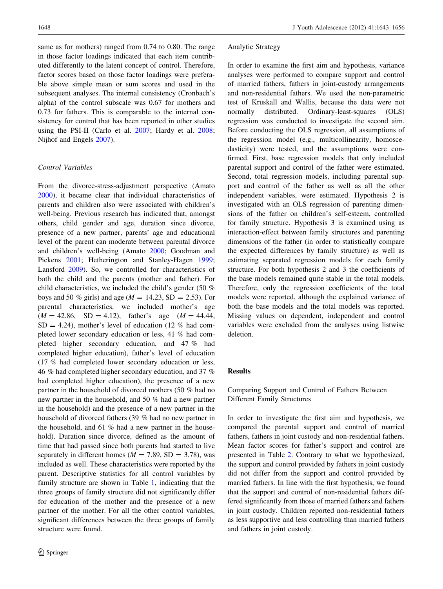same as for mothers) ranged from 0.74 to 0.80. The range in those factor loadings indicated that each item contributed differently to the latent concept of control. Therefore, factor scores based on those factor loadings were preferable above simple mean or sum scores and used in the subsequent analyses. The internal consistency (Cronbach's alpha) of the control subscale was 0.67 for mothers and 0.73 for fathers. This is comparable to the internal consistency for control that has been reported in other studies using the PSI-II (Carlo et al. 2007; Hardy et al. 2008; Nijhof and Engels 2007).

## Control Variables

From the divorce-stress-adjustment perspective (Amato 2000), it became clear that individual characteristics of parents and children also were associated with children's well-being. Previous research has indicated that, amongst others, child gender and age, duration since divorce, presence of a new partner, parents' age and educational level of the parent can moderate between parental divorce and children's well-being (Amato 2000; Goodman and Pickens 2001; Hetherington and Stanley-Hagen 1999; Lansford 2009). So, we controlled for characteristics of both the child and the parents (mother and father). For child characteristics, we included the child's gender (50 % boys and 50 % girls) and age ( $M = 14.23$ , SD = 2.53). For parental characteristics, we included mother's age  $(M = 42.86, SD = 4.12),$  father's age  $(M = 44.44,$  $SD = 4.24$ ), mother's level of education (12 % had completed lower secondary education or less, 41 % had completed higher secondary education, and 47 % had completed higher education), father's level of education (17 % had completed lower secondary education or less, 46 % had completed higher secondary education, and 37 % had completed higher education), the presence of a new partner in the household of divorced mothers (50 % had no new partner in the household, and 50 % had a new partner in the household) and the presence of a new partner in the household of divorced fathers (39 % had no new partner in the household, and 61 % had a new partner in the household). Duration since divorce, defined as the amount of time that had passed since both parents had started to live separately in different homes ( $M = 7.89$ , SD = 3.78), was included as well. These characteristics were reported by the parent. Descriptive statistics for all control variables by family structure are shown in Table 1, indicating that the three groups of family structure did not significantly differ for education of the mother and the presence of a new partner of the mother. For all the other control variables, significant differences between the three groups of family structure were found.

#### Analytic Strategy

In order to examine the first aim and hypothesis, variance analyses were performed to compare support and control of married fathers, fathers in joint-custody arrangements and non-residential fathers. We used the non-parametric test of Kruskall and Wallis, because the data were not normally distributed. Ordinary-least-squares (OLS) regression was conducted to investigate the second aim. Before conducting the OLS regression, all assumptions of the regression model (e.g., multicollinearity, homoscedasticity) were tested, and the assumptions were confirmed. First, base regression models that only included parental support and control of the father were estimated. Second, total regression models, including parental support and control of the father as well as all the other independent variables, were estimated. Hypothesis 2 is investigated with an OLS regression of parenting dimensions of the father on children's self-esteem, controlled for family structure. Hypothesis 3 is examined using as interaction-effect between family structures and parenting dimensions of the father (in order to statistically compare the expected differences by family structure) as well as estimating separated regression models for each family structure. For both hypothesis 2 and 3 the coefficients of the base models remained quite stable in the total models. Therefore, only the regression coefficients of the total models were reported, although the explained variance of both the base models and the total models was reported. Missing values on dependent, independent and control variables were excluded from the analyses using listwise deletion.

## Results

Comparing Support and Control of Fathers Between Different Family Structures

In order to investigate the first aim and hypothesis, we compared the parental support and control of married fathers, fathers in joint custody and non-residential fathers. Mean factor scores for father's support and control are presented in Table 2. Contrary to what we hypothesized, the support and control provided by fathers in joint custody did not differ from the support and control provided by married fathers. In line with the first hypothesis, we found that the support and control of non-residential fathers differed significantly from those of married fathers and fathers in joint custody. Children reported non-residential fathers as less supportive and less controlling than married fathers and fathers in joint custody.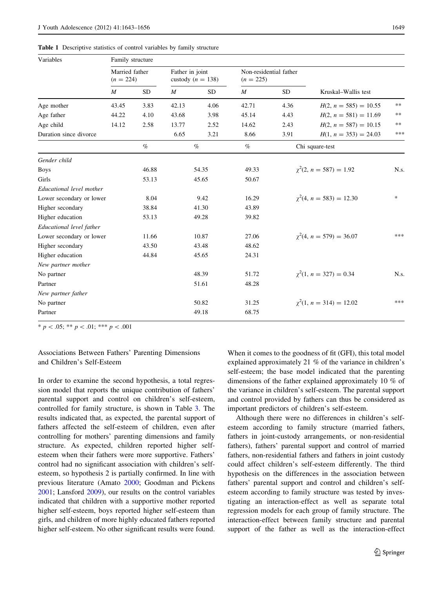Table 1 Descriptive statistics of control variables by family structure

| Variables                | Family structure              |           |                                        |           |                                       |                 |                               |        |  |  |  |  |
|--------------------------|-------------------------------|-----------|----------------------------------------|-----------|---------------------------------------|-----------------|-------------------------------|--------|--|--|--|--|
|                          | Married father<br>$(n = 224)$ |           | Father in joint<br>custody $(n = 138)$ |           | Non-residential father<br>$(n = 225)$ |                 |                               |        |  |  |  |  |
|                          | $\boldsymbol{M}$              | <b>SD</b> | $\boldsymbol{M}$                       | <b>SD</b> | $\boldsymbol{M}$                      | <b>SD</b>       | Kruskal–Wallis test           |        |  |  |  |  |
| Age mother               | 43.45                         | 3.83      | 42.13                                  | 4.06      | 42.71                                 | 4.36            | $H(2, n = 585) = 10.55$       | $***$  |  |  |  |  |
| Age father               | 44.22                         | 4.10      | 43.68                                  | 3.98      | 45.14                                 | 4.43            | $H(2, n = 581) = 11.69$       | $***$  |  |  |  |  |
| Age child                | 14.12                         | 2.58      | 13.77                                  | 2.52      | 14.62                                 | 2.43            | $H(2, n = 587) = 10.15$       | $***$  |  |  |  |  |
| Duration since divorce   |                               |           | 6.65                                   | 3.21      | 8.66                                  | 3.91            | $H(1, n = 353) = 24.03$       | ***    |  |  |  |  |
|                          |                               | $\%$      | $\%$                                   |           | $\%$                                  | Chi square-test |                               |        |  |  |  |  |
| Gender child             |                               |           |                                        |           |                                       |                 |                               |        |  |  |  |  |
| <b>Boys</b>              |                               | 46.88     |                                        | 54.35     | 49.33                                 |                 | $\chi^2(2, n = 587) = 1.92$   | N.s.   |  |  |  |  |
| Girls                    |                               | 53.13     |                                        | 45.65     | 50.67                                 |                 |                               |        |  |  |  |  |
| Educational level mother |                               |           |                                        |           |                                       |                 |                               |        |  |  |  |  |
| Lower secondary or lower |                               | 8.04      |                                        | 9.42      | 16.29                                 |                 | $\chi^2(4, n = 583) = 12.30$  | $\ast$ |  |  |  |  |
| Higher secondary         |                               | 38.84     |                                        | 41.30     | 43.89                                 |                 |                               |        |  |  |  |  |
| Higher education         |                               | 53.13     |                                        | 49.28     | 39.82                                 |                 |                               |        |  |  |  |  |
| Educational level father |                               |           |                                        |           |                                       |                 |                               |        |  |  |  |  |
| Lower secondary or lower |                               | 11.66     | 10.87                                  |           | 27.06                                 |                 | $\chi^2(4, n = 579) = 36.07$  |        |  |  |  |  |
| Higher secondary         |                               | 43.50     |                                        | 43.48     | 48.62                                 |                 |                               |        |  |  |  |  |
| Higher education         |                               | 44.84     |                                        | 45.65     | 24.31                                 |                 |                               |        |  |  |  |  |
| New partner mother       |                               |           |                                        |           |                                       |                 |                               |        |  |  |  |  |
| No partner               |                               |           |                                        | 48.39     | 51.72                                 |                 | $\gamma^2(1, n = 327) = 0.34$ | N.s.   |  |  |  |  |
| Partner                  |                               |           |                                        | 51.61     | 48.28                                 |                 |                               |        |  |  |  |  |
| New partner father       |                               |           |                                        |           |                                       |                 |                               |        |  |  |  |  |
| No partner               |                               |           |                                        | 50.82     | 31.25                                 |                 | $\chi^2(1, n = 314) = 12.02$  | ***    |  |  |  |  |
| Partner                  |                               |           |                                        | 49.18     | 68.75                                 |                 |                               |        |  |  |  |  |

\*  $p$  < .05; \*\*  $p$  < .01; \*\*\*  $p$  < .001

Associations Between Fathers' Parenting Dimensions and Children's Self-Esteem

In order to examine the second hypothesis, a total regression model that reports the unique contribution of fathers' parental support and control on children's self-esteem, controlled for family structure, is shown in Table 3. The results indicated that, as expected, the parental support of fathers affected the self-esteem of children, even after controlling for mothers' parenting dimensions and family structure. As expected, children reported higher selfesteem when their fathers were more supportive. Fathers' control had no significant association with children's selfesteem, so hypothesis 2 is partially confirmed. In line with previous literature (Amato 2000; Goodman and Pickens 2001; Lansford 2009), our results on the control variables indicated that children with a supportive mother reported higher self-esteem, boys reported higher self-esteem than girls, and children of more highly educated fathers reported higher self-esteem. No other significant results were found.

When it comes to the goodness of fit (GFI), this total model explained approximately 21 % of the variance in children's self-esteem; the base model indicated that the parenting dimensions of the father explained approximately 10 % of the variance in children's self-esteem. The parental support and control provided by fathers can thus be considered as important predictors of children's self-esteem.

Although there were no differences in children's selfesteem according to family structure (married fathers, fathers in joint-custody arrangements, or non-residential fathers), fathers' parental support and control of married fathers, non-residential fathers and fathers in joint custody could affect children's self-esteem differently. The third hypothesis on the differences in the association between fathers' parental support and control and children's selfesteem according to family structure was tested by investigating an interaction-effect as well as separate total regression models for each group of family structure. The interaction-effect between family structure and parental support of the father as well as the interaction-effect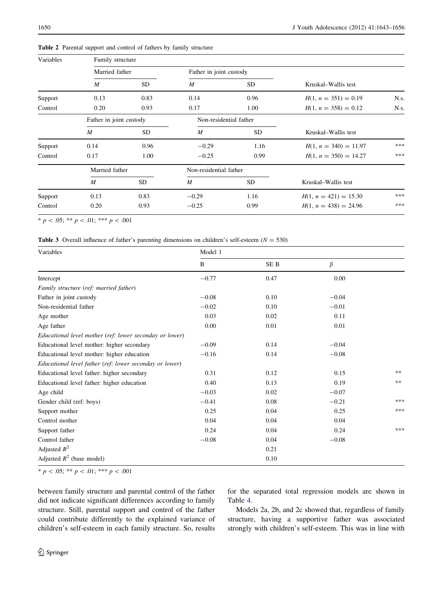| Variables       | Family structure        |           |                         |           |                         |      |  |  |  |  |  |  |
|-----------------|-------------------------|-----------|-------------------------|-----------|-------------------------|------|--|--|--|--|--|--|
|                 | Married father          |           | Father in joint custody |           |                         |      |  |  |  |  |  |  |
|                 | $\boldsymbol{M}$        | SD.       | $\boldsymbol{M}$        | <b>SD</b> | Kruskal–Wallis test     |      |  |  |  |  |  |  |
| Support         | 0.13                    | 0.83      | 0.14                    | 0.96      | $H(1, n = 351) = 0.19$  | N.s. |  |  |  |  |  |  |
| Control<br>0.20 |                         | 0.93      | 0.17                    | 1.00      | $H(1, n = 358) = 0.12$  | N.s. |  |  |  |  |  |  |
|                 | Father in joint custody |           | Non-residential father  |           |                         |      |  |  |  |  |  |  |
|                 | M                       | SD        | M                       | <b>SD</b> | Kruskal–Wallis test     |      |  |  |  |  |  |  |
| Support         | 0.14                    | 0.96      | $-0.29$                 | 1.16      | $H(1, n = 340) = 11.97$ | ***  |  |  |  |  |  |  |
| Control         | 0.17                    | 1.00      | $-0.25$                 | 0.99      | $H(1, n = 350) = 14.27$ | ***  |  |  |  |  |  |  |
|                 | Married father          |           | Non-residential father  |           |                         |      |  |  |  |  |  |  |
|                 | $\boldsymbol{M}$        | <b>SD</b> | M                       | <b>SD</b> | Kruskal–Wallis test     |      |  |  |  |  |  |  |
| Support         | 0.13                    | 0.83      | $-0.29$                 | 1.16      | $H(1, n = 421) = 15.30$ | ***  |  |  |  |  |  |  |
| Control         | 0.20                    | 0.93      | $-0.25$                 | 0.99      | $H(1, n = 438) = 24.96$ | ***  |  |  |  |  |  |  |

Table 2 Parental support and control of fathers by family structure

 $\frac{}{p\,<\,05; ** p\,<\,01; ** p\,<\,001}$ 

Table 3 Overall influence of father's parenting dimensions on children's self-esteem ( $N = 530$ )

| Variables                                               | Model 1 |      |         |     |  |  |  |  |  |
|---------------------------------------------------------|---------|------|---------|-----|--|--|--|--|--|
|                                                         | B       | SE B | $\beta$ |     |  |  |  |  |  |
| Intercept                                               | $-0.77$ | 0.47 | 0.00    |     |  |  |  |  |  |
| Family structure (ref: married father)                  |         |      |         |     |  |  |  |  |  |
| Father in joint custody                                 | $-0.08$ | 0.10 | $-0.04$ |     |  |  |  |  |  |
| Non-residential father                                  | $-0.02$ | 0.10 | $-0.01$ |     |  |  |  |  |  |
| Age mother                                              | 0.03    | 0.02 | 0.11    |     |  |  |  |  |  |
| Age father                                              | 0.00    | 0.01 | 0.01    |     |  |  |  |  |  |
| Educational level mother (ref: lower seconday or lower) |         |      |         |     |  |  |  |  |  |
| Educational level mother: higher secondary              | $-0.09$ | 0.14 | $-0.04$ |     |  |  |  |  |  |
| Educational level mother: higher education              | $-0.16$ | 0.14 | $-0.08$ |     |  |  |  |  |  |
| Educational level father (ref: lower seconday or lower) |         |      |         |     |  |  |  |  |  |
| Educational level father: higher secondary              | 0.31    | 0.12 | 0.15    | **  |  |  |  |  |  |
| Educational level father: higher education              | 0.40    | 0.13 | 0.19    | **  |  |  |  |  |  |
| Age child                                               | $-0.03$ | 0.02 | $-0.07$ |     |  |  |  |  |  |
| Gender child (ref: boys)                                | $-0.41$ | 0.08 | $-0.21$ | *** |  |  |  |  |  |
| Support mother                                          | 0.25    | 0.04 | 0.25    | *** |  |  |  |  |  |
| Control mother                                          | 0.04    | 0.04 | 0.04    |     |  |  |  |  |  |
| Support father                                          | 0.24    | 0.04 | 0.24    | *** |  |  |  |  |  |
| Control father                                          | $-0.08$ | 0.04 | $-0.08$ |     |  |  |  |  |  |
| Adjusted $R^2$                                          |         | 0.21 |         |     |  |  |  |  |  |
| Adjusted $R^2$ (base model)                             |         | 0.10 |         |     |  |  |  |  |  |

\*  $p$  < .05; \*\*  $p$  < .01; \*\*\*  $p$  < .001

between family structure and parental control of the father did not indicate significant differences according to family structure. Still, parental support and control of the father could contribute differently to the explained variance of children's self-esteem in each family structure. So, results for the separated total regression models are shown in Table 4.

Models 2a, 2b, and 2c showed that, regardless of family structure, having a supportive father was associated strongly with children's self-esteem. This was in line with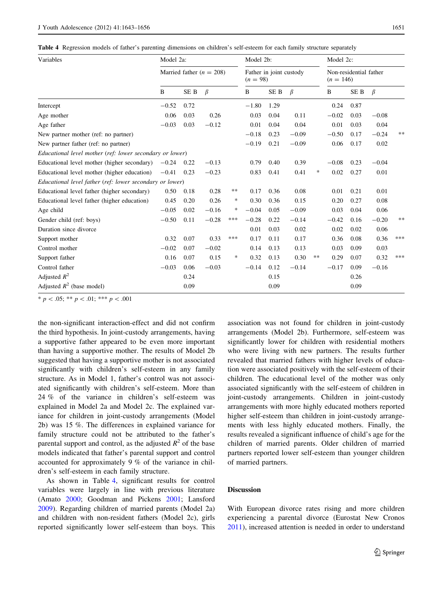Table 4 Regression models of father's parenting dimensions on children's self-esteem for each family structure separately

| Variables                                                | Model 2a:<br>Married father ( $n = 208$ ) |      |         |        | Model 2b:                             |      |         |    | Model 2c:<br>Non-residential father<br>$(n = 146)$ |      |         |     |
|----------------------------------------------------------|-------------------------------------------|------|---------|--------|---------------------------------------|------|---------|----|----------------------------------------------------|------|---------|-----|
|                                                          |                                           |      |         |        | Father in joint custody<br>$(n = 98)$ |      |         |    |                                                    |      |         |     |
|                                                          | B                                         | SE B | $\beta$ |        | B                                     | SE B | $\beta$ |    | B                                                  | SE B | $\beta$ |     |
| Intercept                                                | $-0.52$                                   | 0.72 |         |        | $-1.80$                               | 1.29 |         |    | 0.24                                               | 0.87 |         |     |
| Age mother                                               | 0.06                                      | 0.03 | 0.26    |        | 0.03                                  | 0.04 | 0.11    |    | $-0.02$                                            | 0.03 | $-0.08$ |     |
| Age father                                               | $-0.03$                                   | 0.03 | $-0.12$ |        | 0.01                                  | 0.04 | 0.04    |    | 0.01                                               | 0.03 | 0.04    |     |
| New partner mother (ref: no partner)                     |                                           |      |         |        | $-0.18$                               | 0.23 | $-0.09$ |    | $-0.50$                                            | 0.17 | $-0.24$ | **  |
| New partner father (ref: no partner)                     |                                           |      |         |        | $-0.19$                               | 0.21 | $-0.09$ |    | 0.06                                               | 0.17 | 0.02    |     |
| Educational level mother (ref: lower secondary or lower) |                                           |      |         |        |                                       |      |         |    |                                                    |      |         |     |
| Educational level mother (higher secondary)              | $-0.24$                                   | 0.22 | $-0.13$ |        | 0.79                                  | 0.40 | 0.39    |    | $-0.08$                                            | 0.23 | $-0.04$ |     |
| Educational level mother (higher education)              | $-0.41$                                   | 0.23 | $-0.23$ |        | 0.83                                  | 0.41 | 0.41    | ∗  | 0.02                                               | 0.27 | 0.01    |     |
| Educational level father (ref: lower secondary or lower) |                                           |      |         |        |                                       |      |         |    |                                                    |      |         |     |
| Educational level father (higher secondary)              | 0.50                                      | 0.18 | 0.28    | **     | 0.17                                  | 0.36 | 0.08    |    | 0.01                                               | 0.21 | 0.01    |     |
| Educational level father (higher education)              | 0.45                                      | 0.20 | 0.26    | ∗      | 0.30                                  | 0.36 | 0.15    |    | 0.20                                               | 0.27 | 0.08    |     |
| Age child                                                | $-0.05$                                   | 0.02 | $-0.16$ | $\ast$ | $-0.04$                               | 0.05 | $-0.09$ |    | 0.03                                               | 0.04 | 0.06    |     |
| Gender child (ref: boys)                                 | $-0.50$                                   | 0.11 | $-0.28$ | ***    | $-0.28$                               | 0.22 | $-0.14$ |    | $-0.42$                                            | 0.16 | $-0.20$ | **  |
| Duration since divorce                                   |                                           |      |         |        | 0.01                                  | 0.03 | 0.02    |    | 0.02                                               | 0.02 | 0.06    |     |
| Support mother                                           | 0.32                                      | 0.07 | 0.33    | ***    | 0.17                                  | 0.11 | 0.17    |    | 0.36                                               | 0.08 | 0.36    | *** |
| Control mother                                           | $-0.02$                                   | 0.07 | $-0.02$ |        | 0.14                                  | 0.13 | 0.13    |    | 0.03                                               | 0.09 | 0.03    |     |
| Support father                                           | 0.16                                      | 0.07 | 0.15    | $\ast$ | 0.32                                  | 0.13 | 0.30    | ** | 0.29                                               | 0.07 | 0.32    | *** |
| Control father                                           | $-0.03$                                   | 0.06 | $-0.03$ |        | $-0.14$                               | 0.12 | $-0.14$ |    | $-0.17$                                            | 0.09 | $-0.16$ |     |
| Adjusted $R^2$                                           |                                           | 0.24 |         |        |                                       | 0.15 |         |    |                                                    | 0.26 |         |     |
| Adjusted $R^2$ (base model)                              |                                           | 0.09 |         |        |                                       | 0.09 |         |    |                                                    | 0.09 |         |     |

\*  $p$  < .05; \*\*  $p$  < .01; \*\*\*  $p$  < .001

the non-significant interaction-effect and did not confirm the third hypothesis. In joint-custody arrangements, having a supportive father appeared to be even more important than having a supportive mother. The results of Model 2b suggested that having a supportive mother is not associated significantly with children's self-esteem in any family structure. As in Model 1, father's control was not associated significantly with children's self-esteem. More than 24 % of the variance in children's self-esteem was explained in Model 2a and Model 2c. The explained variance for children in joint-custody arrangements (Model 2b) was 15 %. The differences in explained variance for family structure could not be attributed to the father's parental support and control, as the adjusted  $R^2$  of the base models indicated that father's parental support and control accounted for approximately 9 % of the variance in children's self-esteem in each family structure.

As shown in Table 4, significant results for control variables were largely in line with previous literature (Amato 2000; Goodman and Pickens 2001; Lansford 2009). Regarding children of married parents (Model 2a) and children with non-resident fathers (Model 2c), girls reported significantly lower self-esteem than boys. This association was not found for children in joint-custody arrangements (Model 2b). Furthermore, self-esteem was significantly lower for children with residential mothers who were living with new partners. The results further revealed that married fathers with higher levels of education were associated positively with the self-esteem of their children. The educational level of the mother was only associated significantly with the self-esteem of children in joint-custody arrangements. Children in joint-custody arrangements with more highly educated mothers reported higher self-esteem than children in joint-custody arrangements with less highly educated mothers. Finally, the results revealed a significant influence of child's age for the children of married parents. Older children of married partners reported lower self-esteem than younger children of married partners.

### Discussion

With European divorce rates rising and more children experiencing a parental divorce (Eurostat New Cronos 2011), increased attention is needed in order to understand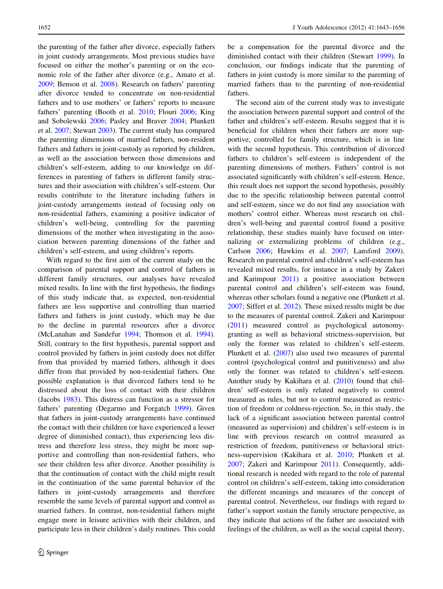the parenting of the father after divorce, especially fathers in joint custody arrangements. Most previous studies have focused on either the mother's parenting or on the economic role of the father after divorce (e.g., Amato et al. 2009; Benson et al. 2008). Research on fathers' parenting after divorce tended to concentrate on non-residential fathers and to use mothers' or fathers' reports to measure fathers' parenting (Booth et al. 2010; Flouri 2006; King and Sobolewski 2006; Pasley and Braver 2004; Plunkett et al. 2007; Stewart 2003). The current study has compared the parenting dimensions of married fathers, non-resident fathers and fathers in joint-custody as reported by children, as well as the association between those dimensions and children's self-esteem, adding to our knowledge on differences in parenting of fathers in different family structures and their association with children's self-esteem. Our results contribute to the literature including fathers in joint-custody arrangements instead of focusing only on non-residential fathers, examining a positive indicator of children's well-being, controlling for the parenting dimensions of the mother when investigating in the association between parenting dimensions of the father and children's self-esteem, and using children's reports.

With regard to the first aim of the current study on the comparison of parental support and control of fathers in different family structures, our analyses have revealed mixed results. In line with the first hypothesis, the findings of this study indicate that, as expected, non-residential fathers are less supportive and controlling than married fathers and fathers in joint custody, which may be due to the decline in parental resources after a divorce (McLanahan and Sandefur 1994; Thomson et al. 1994). Still, contrary to the first hypothesis, parental support and control provided by fathers in joint custody does not differ from that provided by married fathers, although it does differ from that provided by non-residential fathers. One possible explanation is that divorced fathers tend to be distressed about the loss of contact with their children (Jacobs 1983). This distress can function as a stressor for fathers' parenting (Degarmo and Forgatch 1999). Given that fathers in joint-custody arrangements have continued the contact with their children (or have experienced a lesser degree of diminished contact), thus experiencing less distress and therefore less stress, they might be more supportive and controlling than non-residential fathers, who see their children less after divorce. Another possibility is that the continuation of contact with the child might result in the continuation of the same parental behavior of the fathers in joint-custody arrangements and therefore resemble the same levels of parental support and control as married fathers. In contrast, non-residential fathers might engage more in leisure activities with their children, and participate less in their children's daily routines. This could be a compensation for the parental divorce and the diminished contact with their children (Stewart 1999). In conclusion, our findings indicate that the parenting of fathers in joint custody is more similar to the parenting of married fathers than to the parenting of non-residential fathers.

The second aim of the current study was to investigate the association between parental support and control of the father and children's self-esteem. Results suggest that it is beneficial for children when their fathers are more supportive, controlled for family structure, which is in line with the second hypothesis. This contribution of divorced fathers to children's self-esteem is independent of the parenting dimensions of mothers. Fathers' control is not associated significantly with children's self-esteem. Hence, this result does not support the second hypothesis, possibly due to the specific relationship between parental control and self-esteem, since we do not find any association with mothers' control either. Whereas most research on children's well-being and parental control found a positive relationship, these studies mainly have focused on internalizing or externalizing problems of children (e.g., Carlson 2006; Hawkins et al. 2007; Lansford 2009). Research on parental control and children's self-esteem has revealed mixed results, for instance in a study by Zakeri and Karimpour 2011) a positive association between parental control and children's self-esteem was found, whereas other scholars found a negative one (Plunkett et al. 2007; Siffert et al. 2012). These mixed results might be due to the measures of parental control. Zakeri and Karimpour (2011) measured control as psychological autonomygranting as well as behavioral strictness-supervision, but only the former was related to children's self-esteem. Plunkett et al. (2007) also used two measures of parental control (psychological control and punitiveness) and also only the former was related to children's self-esteem. Another study by Kakihara et al. (2010) found that children' self-esteem is only related negatively to control measured as rules, but not to control measured as restriction of freedom or coldness-rejection. So, in this study, the lack of a significant association between parental control (measured as supervision) and children's self-esteem is in line with previous research on control measured as restriction of freedom, punitiveness or behavioral strictness-supervision (Kakihara et al. 2010; Plunkett et al. 2007; Zakeri and Karimpour 2011). Consequently, additional research is needed with regard to the role of parental control on children's self-esteem, taking into consideration the different meanings and measures of the concept of parental control. Nevertheless, our findings with regard to father's support sustain the family structure perspective, as they indicate that actions of the father are associated with feelings of the children, as well as the social capital theory,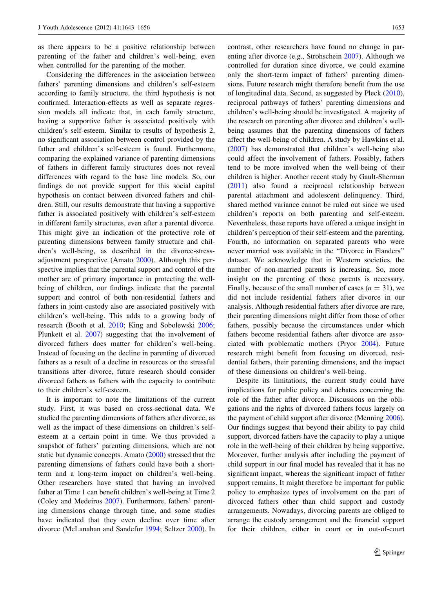as there appears to be a positive relationship between parenting of the father and children's well-being, even when controlled for the parenting of the mother.

Considering the differences in the association between fathers' parenting dimensions and children's self-esteem according to family structure, the third hypothesis is not confirmed. Interaction-effects as well as separate regression models all indicate that, in each family structure, having a supportive father is associated positively with children's self-esteem. Similar to results of hypothesis 2, no significant association between control provided by the father and children's self-esteem is found. Furthermore, comparing the explained variance of parenting dimensions of fathers in different family structures does not reveal differences with regard to the base line models. So, our findings do not provide support for this social capital hypothesis on contact between divorced fathers and children. Still, our results demonstrate that having a supportive father is associated positively with children's self-esteem in different family structures, even after a parental divorce. This might give an indication of the protective role of parenting dimensions between family structure and children's well-being, as described in the divorce-stressadjustment perspective (Amato 2000). Although this perspective implies that the parental support and control of the mother are of primary importance in protecting the wellbeing of children, our findings indicate that the parental support and control of both non-residential fathers and fathers in joint-custody also are associated positively with children's well-being. This adds to a growing body of research (Booth et al. 2010; King and Sobolewski 2006; Plunkett et al. 2007) suggesting that the involvement of divorced fathers does matter for children's well-being. Instead of focusing on the decline in parenting of divorced fathers as a result of a decline in resources or the stressful transitions after divorce, future research should consider divorced fathers as fathers with the capacity to contribute to their children's self-esteem.

It is important to note the limitations of the current study. First, it was based on cross-sectional data. We studied the parenting dimensions of fathers after divorce, as well as the impact of these dimensions on children's selfesteem at a certain point in time. We thus provided a snapshot of fathers' parenting dimensions, which are not static but dynamic concepts. Amato (2000) stressed that the parenting dimensions of fathers could have both a shortterm and a long-term impact on children's well-being. Other researchers have stated that having an involved father at Time 1 can benefit children's well-being at Time 2 (Coley and Medeiros 2007). Furthermore, fathers' parenting dimensions change through time, and some studies have indicated that they even decline over time after divorce (McLanahan and Sandefur 1994; Seltzer 2000). In contrast, other researchers have found no change in parenting after divorce (e.g., Strohschein 2007). Although we controlled for duration since divorce, we could examine only the short-term impact of fathers' parenting dimensions. Future research might therefore benefit from the use of longitudinal data. Second, as suggested by Pleck (2010), reciprocal pathways of fathers' parenting dimensions and children's well-being should be investigated. A majority of the research on parenting after divorce and children's wellbeing assumes that the parenting dimensions of fathers affect the well-being of children. A study by Hawkins et al. (2007) has demonstrated that children's well-being also could affect the involvement of fathers. Possibly, fathers tend to be more involved when the well-being of their children is higher. Another recent study by Gault-Sherman (2011) also found a reciprocal relationship between parental attachment and adolescent delinquency. Third, shared method variance cannot be ruled out since we used children's reports on both parenting and self-esteem. Nevertheless, these reports have offered a unique insight in children's perception of their self-esteem and the parenting. Fourth, no information on separated parents who were never married was available in the ''Divorce in Flanders'' dataset. We acknowledge that in Western societies, the number of non-married parents is increasing. So, more insight on the parenting of those parents is necessary. Finally, because of the small number of cases  $(n = 31)$ , we did not include residential fathers after divorce in our analysis. Although residential fathers after divorce are rare, their parenting dimensions might differ from those of other fathers, possibly because the circumstances under which fathers become residential fathers after divorce are associated with problematic mothers (Pryor 2004). Future research might benefit from focusing on divorced, residential fathers, their parenting dimensions, and the impact of these dimensions on children's well-being.

Despite its limitations, the current study could have implications for public policy and debates concerning the role of the father after divorce. Discussions on the obligations and the rights of divorced fathers focus largely on the payment of child support after divorce (Menning 2006). Our findings suggest that beyond their ability to pay child support, divorced fathers have the capacity to play a unique role in the well-being of their children by being supportive. Moreover, further analysis after including the payment of child support in our final model has revealed that it has no significant impact, whereas the significant impact of father support remains. It might therefore be important for public policy to emphasize types of involvement on the part of divorced fathers other than child support and custody arrangements. Nowadays, divorcing parents are obliged to arrange the custody arrangement and the financial support for their children, either in court or in out-of-court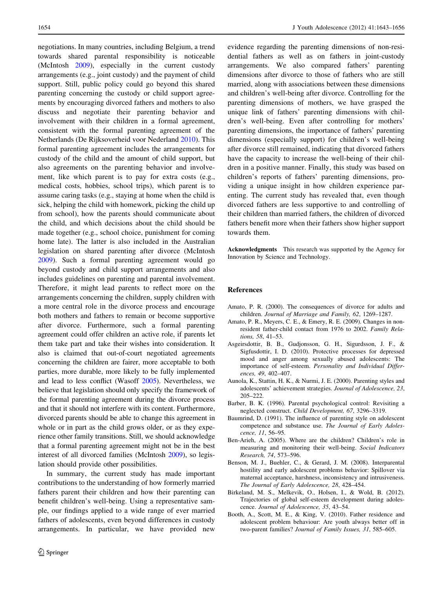negotiations. In many countries, including Belgium, a trend towards shared parental responsibility is noticeable (McIntosh 2009), especially in the current custody arrangements (e.g., joint custody) and the payment of child support. Still, public policy could go beyond this shared parenting concerning the custody or child support agreements by encouraging divorced fathers and mothers to also discuss and negotiate their parenting behavior and involvement with their children in a formal agreement, consistent with the formal parenting agreement of the Netherlands (De Rijksoverheid voor Nederland 2010). This formal parenting agreement includes the arrangements for custody of the child and the amount of child support, but also agreements on the parenting behavior and involvement, like which parent is to pay for extra costs (e.g., medical costs, hobbies, school trips), which parent is to assume caring tasks (e.g., staying at home when the child is sick, helping the child with homework, picking the child up from school), how the parents should communicate about the child, and which decisions about the child should be made together (e.g., school choice, punishment for coming home late). The latter is also included in the Australian legislation on shared parenting after divorce (McIntosh 2009). Such a formal parenting agreement would go beyond custody and child support arrangements and also includes guidelines on parenting and parental involvement. Therefore, it might lead parents to reflect more on the arrangements concerning the children, supply children with a more central role in the divorce process and encourage both mothers and fathers to remain or become supportive after divorce. Furthermore, such a formal parenting agreement could offer children an active role, if parents let them take part and take their wishes into consideration. It also is claimed that out-of-court negotiated agreements concerning the children are fairer, more acceptable to both parties, more durable, more likely to be fully implemented and lead to less conflict (Wasoff 2005). Nevertheless, we believe that legislation should only specify the framework of the formal parenting agreement during the divorce process and that it should not interfere with its content. Furthermore, divorced parents should be able to change this agreement in whole or in part as the child grows older, or as they experience other family transitions. Still, we should acknowledge that a formal parenting agreement might not be in the best interest of all divorced families (McIntosh 2009), so legislation should provide other possibilities.

In summary, the current study has made important contributions to the understanding of how formerly married fathers parent their children and how their parenting can benefit children's well-being. Using a representative sample, our findings applied to a wide range of ever married fathers of adolescents, even beyond differences in custody arrangements. In particular, we have provided new evidence regarding the parenting dimensions of non-residential fathers as well as on fathers in joint-custody arrangements. We also compared fathers' parenting dimensions after divorce to those of fathers who are still married, along with associations between these dimensions and children's well-being after divorce. Controlling for the parenting dimensions of mothers, we have grasped the unique link of fathers' parenting dimensions with children's well-being. Even after controlling for mothers' parenting dimensions, the importance of fathers' parenting dimensions (especially support) for children's well-being after divorce still remained, indicating that divorced fathers have the capacity to increase the well-being of their children in a positive manner. Finally, this study was based on children's reports of fathers' parenting dimensions, providing a unique insight in how children experience parenting. The current study has revealed that, even though divorced fathers are less supportive to and controlling of their children than married fathers, the children of divorced fathers benefit more when their fathers show higher support towards them.

Acknowledgments This research was supported by the Agency for Innovation by Science and Technology.

#### References

- Amato, P. R. (2000). The consequences of divorce for adults and children. Journal of Marriage and Family, 62, 1269–1287.
- Amato, P. R., Meyers, C. E., & Emery, R. E. (2009). Changes in nonresident father-child contact from 1976 to 2002. Family Relations, 58, 41–53.
- Asgeirsdottir, B. B., Gudjonsson, G. H., Sigurdsson, J. F., & Sigfusdottir, I. D. (2010). Protective processes for depressed mood and anger among sexually abused adolescents: The importance of self-esteem. Personality and Individual Differences, 49, 402–407.
- Aunola, K., Stattin, H. K., & Nurmi, J. E. (2000). Parenting styles and adolescents' achievement strategies. Journal of Adolescence, 23, 205–222.
- Barber, B. K. (1996). Parental psychological control: Revisiting a neglected construct. Child Development, 67, 3296–3319.
- Baumrind, D. (1991). The influence of parenting style on adolescent competence and substance use. The Journal of Early Adolescence, 11, 56–95.
- Ben-Arieh, A. (2005). Where are the children? Children's role in measuring and monitoring their well-being. Social Indicators Research, 74, 573–596.
- Benson, M. J., Buehler, C., & Gerard, J. M. (2008). Interparental hostility and early adolescent problems behavior: Spillover via maternal acceptance, harshness, inconsistency and intrusiveness. The Journal of Early Adolescence, 28, 428–454.
- Birkeland, M. S., Melkevik, O., Holsen, I., & Wold, B. (2012). Trajectories of global self-esteem development during adolescence. Journal of Adolescence, 35, 43–54.
- Booth, A., Scott, M. E., & King, V. (2010). Father residence and adolescent problem behaviour: Are youth always better off in two-parent families? Journal of Family Issues, 31, 585–605.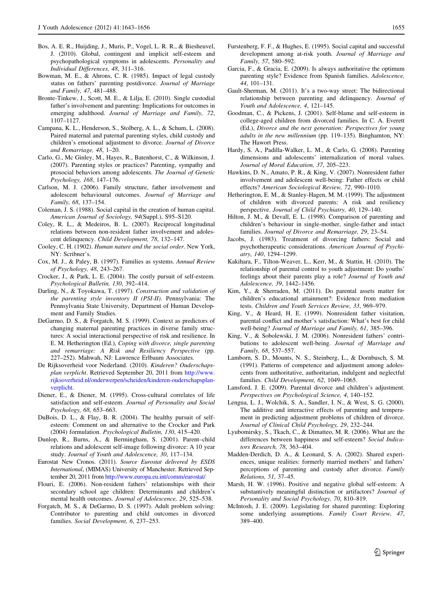- Bos, A. E. R., Huijding, J., Muris, P., Vogel, L. R. R., & Biesheuvel, J. (2010). Global, contingent and implicit self-esteem and psychopathological symptoms in adolescents. Personality and Individual Differences, 48, 311–316.
- Bowman, M. E., & Ahrons, C. R. (1985). Impact of legal custody status on fathers' parenting postdivorce. Journal of Marriage and Family, 47, 481–488.
- Bronte-Tinkew, J., Scott, M. E., & Lilja, E. (2010). Single custodial father's involvement and parenting: Implications for outcomes in emerging adulthood. Journal of Marriage and Family, 72, 1107–1127.
- Campana, K. L., Henderson, S., Stolberg, A. L., & Schum, L. (2008). Paired maternal and paternal parenting styles, child custody and children's emotional adjustment to divorce. Journal of Divorce and Remarriage, 48, 1–20.
- Carlo, G., Mc Ginley, M., Hayes, R., Batenhorst, C., & Wilkinson, J. (2007). Parenting styles or practices? Parenting, sympathy and prosocial behaviors among adolescents. The Journal of Genetic Psychology, 168, 147–176.
- Carlson, M. J. (2006). Family structure, father involvement and adolescent behavioural outcomes. Journal of Marriage and Family, 68, 137–154.
- Coleman, J. S. (1988). Social capital in the creation of human capital. American Journal of Sociology, 94(Suppl.), S95–S120.
- Coley, R. L., & Medeiros, B. L. (2007). Reciprocal longitudinal relations between non-resident father involvement and adolescent delinquency. Child Development, 78, 132–147.
- Cooley, C. H. (1902). Human nature and the social order. New York, NY: Scribner's.
- Cox, M. J., & Paley, B. (1997). Families as systems. Annual Review of Psychology, 48, 243–267.
- Crocker, J., & Park, L. E. (2004). The costly pursuit of self-esteem. Psychological Bulletin, 130, 392–414.
- Darling, N., & Toyokawa, T. (1997). Construction and validation of the parenting style inventory II (PSI-II). Pennsylvania: The Pennsylvania State University, Department of Human Development and Family Studies.
- DeGarmo, D. S., & Forgatch, M. S. (1999). Context as predictors of changing maternal parenting practices in diverse family structures: A social interactional perspective of risk and resilience. In E. M. Hetherington (Ed.), Coping with divorce, single parenting and remarriage: A Risk and Resiliency Perspective (pp. 227–252). Mahwah, NJ: Lawrence Erlbaum Associates.
- De Rijksoverheid voor Nederland. (2010). Kinderen? Ouderschapsplan verplicht. Retrieved September 20, 2011 from [http://www.](http://www.rijksoverheid.nl/onderwerpen/scheiden/kinderen-ouderschapsplan-verplicht) [rijksoverheid.nl/onderwerpen/scheiden/kinderen-ouderschapsplan](http://www.rijksoverheid.nl/onderwerpen/scheiden/kinderen-ouderschapsplan-verplicht)[verplicht.](http://www.rijksoverheid.nl/onderwerpen/scheiden/kinderen-ouderschapsplan-verplicht)
- Diener, E., & Diener, M. (1995). Cross-cultural correlates of life satisfaction and self-esteem. Journal of Personality and Social Psychology, 68, 653–663.
- DuBois, D. L., & Flay, B. R. (2004). The healthy pursuit of selfesteem: Comment on and alternative to the Crocker and Park (2004) formulation. Psychological Bulletin, 130, 415–420.
- Dunlop, R., Burns, A., & Bermingham, S. (2001). Parent–child relations and adolescent self-image following divorce: A 10 year study. Journal of Youth and Adolescence, 30, 117–134.
- Eurostat New Cronos. (2011). Source Eurostat delivered by ESDS International, (MIMAS) University of Manchester. Retrieved September 20, 2011 from <http://www.europa.eu.int/comm/eurostat/>
- Flouri, E. (2006). Non-resident fathers' relationships with their secondary school age children: Determinants and children's mental health outcomes. Journal of Adolescence, 29, 525–538.
- Forgatch, M. S., & DeGarmo, D. S. (1997). Adult problem solving: Contributor to parenting and child outcomes in divorced families. Social Development, 6, 237–253.
- Furstenberg, F. F., & Hughes, E. (1995). Social capital and successful development among at-risk youth. Journal of Marriage and Family, 57, 580–592.
- Garcia, F., & Gracia, E. (2009). Is always authoritative the optimum parenting style? Evidence from Spanish families. Adolescence, 44, 101–131.
- Gault-Sherman, M. (2011). It's a two-way street: The bidirectional relationship between parenting and delinquency. Journal of Youth and Adolescence, 4, 121–145.
- Goodman, C., & Pickens, J. (2001). Self-blame and self-esteem in college-aged children from divorced families. In C. A. Everett (Ed.), Divorce and the next generation: Perspectives for young adults in the new millennium (pp. 119–135). Binghamton, NY: The Hawort Press.
- Hardy, S. A., Padilla-Walker, L. M., & Carlo, G. (2008). Parenting dimensions and adolescents' internalization of moral values. Journal of Moral Education, 37, 205–223.
- Hawkins, D. N., Amato, P. R., & King, V. (2007). Nonresident father involvement and adolescent well-being: Father effects or child effects? American Sociological Review, 72, 990–1010.
- Hetherington, E. M., & Stanley-Hagen, M. M. (1999). The adjustment of children with divorced parents: A risk and resiliency perspective. Journal of Child Psychiatry, 40, 129–140.
- Hilton, J. M., & Devall, E. L. (1998). Comparison of parenting and children's behaviour in single-mother, single-father and intact families. Journal of Divorce and Remarriage, 29, 23–54.
- Jacobs, J. (1983). Treatment of divorcing fathers: Social and psychotherapeutic considerations. American Journal of Psychiatry, 140, 1294–1299.
- Kakihara, F., Tilton-Weaver, L., Kerr, M., & Stattin, H. (2010). The relationship of parental control to youth adjustment: Do youths' feelings about their parents play a role? Journal of Youth and Adolescence, 39, 1442–1456.
- Kim, Y., & Sherraden, M. (2011). Do parental assets matter for children's educational attainment?: Evidence from mediation tests. Children and Youth Services Review, 33, 969–979.
- King, V., & Heard, H. E. (1999). Nonresident father visitation, parental conflict and mother's satisfaction: What's best for child well-being? Journal of Marriage and Family, 61, 385–396.
- King, V., & Sobolewski, J. M. (2006). Nonresident fathers' contributions to adolescent well-being. Journal of Marriage and Family, 68, 537–557.
- Lamborn, S. D., Mounts, N. S., Steinberg, L., & Dornbusch, S. M. (1991). Patterns of competence and adjustment among adolescents from authoritative, authoritarian, indulgent and neglectful families. Child Development, 62, 1049–1065.
- Lansford, J. E. (2009). Parental divorce and children's adjustment. Perspectives on Psychological Science, 4, 140–152.
- Lengua, L. J., Wolchik, S. A., Sandler, I. N., & West, S. G. (2000). The additive and interactive effects of parenting and temperament in predicting adjustment problems of children of divorce. Journal of Clinical Child Psychology, 29, 232–244.
- Lyubomirsky, S., Tkach, C., & Dimatteo, M. R. (2006). What are the differences between happiness and self-esteem? Social Indicators Research, 78, 363–404.
- Madden-Derdich, D. A., & Leonard, S. A. (2002). Shared experiences, unique realities: formerly married mothers' and fathers' perceptions of parenting and custody after divorce. Family Relations, 51, 37–45.
- Marsh, H. W. (1996). Positive and negative global self-esteem: A substantively meaningful distinction or artifactors? Journal of Personality and Social Psychology, 70, 810–819.
- McIntosh, J. E. (2009). Legislating for shared parenting: Exploring some underlying assumptions. Family Court Review, 47, 389–400.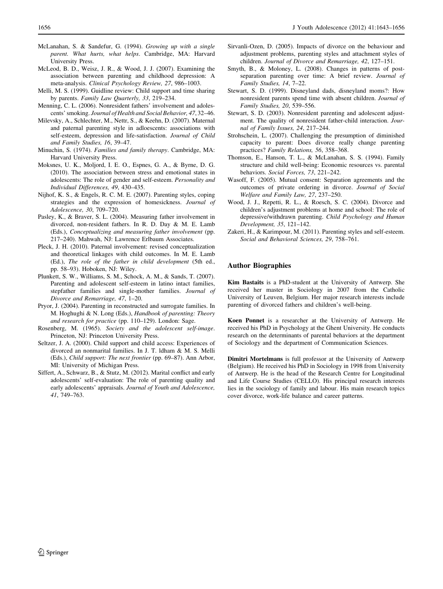- McLanahan, S. & Sandefur, G. (1994). Growing up with a single parent. What hurts, what helps. Cambridge, MA: Harvard University Press.
- McLeod, B. D., Weisz, J. R., & Wood, J. J. (2007). Examining the association between parenting and childhood depression: A meta-analysis. Clinical Psychology Review, 27, 986–1003.
- Melli, M. S. (1999). Guidline review: Child support and time sharing by parents. Family Law Quarterly, 33, 219–234.
- Menning, C. L. (2006). Nonresident fathers' involvement and adolescents' smoking. Journal of Health and Social Behavior, 47, 32–46.
- Milevsky, A., Schlechter, M., Nettr, S., & Keehn, D. (2007). Maternal and paternal parenting style in adloescents: associations with self-esteem, depression and life-satisfaction. Journal of Child and Family Studies, 16, 39–47.
- Minuchin, S. (1974). Families and family therapy. Cambridge, MA: Harvard University Press.
- Moksnes, U. K., Moljord, I. E. O., Espnes, G. A., & Byrne, D. G. (2010). The association between stress and emotional states in adolescents: The role of gender and self-esteem. Personality and Individual Differences, 49, 430–435.
- Nijhof, K. S., & Engels, R. C. M. E. (2007). Parenting styles, coping strategies and the expression of homesickness. Journal of Adolescence, 30, 709–720.
- Pasley, K., & Braver, S. L. (2004). Measuring father involvement in divorced, non-resident fathers. In R. D. Day & M. E. Lamb (Eds.), Conceptualizing and measuring father involvement (pp. 217–240). Mahwah, NJ: Lawrence Erlbaum Associates.
- Pleck, J. H. (2010). Paternal involvement: revised conceptualization and theoretical linkages with child outcomes. In M. E. Lamb (Ed.), The role of the father in child development (5th ed., pp. 58–93). Hoboken, NJ: Wiley.
- Plunkett, S. W., Williams, S. M., Schock, A. M., & Sands, T. (2007). Parenting and adolescent self-esteem in latino intact families, stepfather families and single-mother families. Journal of Divorce and Remarriage, 47, 1–20.
- Pryor, J. (2004). Parenting in reconstructed and surrogate families. In M. Hoghughi & N. Long (Eds.), Handbook of parenting: Theory and research for practice (pp. 110–129). London: Sage.
- Rosenberg, M. (1965). Society and the adolescent self-image. Princeton, NJ: Princeton University Press.
- Seltzer, J. A. (2000). Child support and child access: Experiences of divorced an nonmarital families. In J. T. ldham & M. S. Melli (Eds.), Child support: The next frontier (pp. 69–87). Ann Arbor, MI: University of Michigan Press.
- Siffert, A., Schwarz, B., & Stutz, M. (2012). Marital conflict and early adolescents' self-evaluation: The role of parenting quality and early adolescents' appraisals. Journal of Youth and Adolescence, 41, 749–763.
- Sirvanli-Ozen, D. (2005). Impacts of divorce on the behaviour and adjustment problems, parenting styles and attachment styles of children. Journal of Divorce and Remarriage, 42, 127–151.
- Smyth, B., & Moloney, L. (2008). Changes in patterns of postseparation parenting over time: A brief review. Journal of Family Studies, 14, 7–22.
- Stewart, S. D. (1999). Disneyland dads, disneyland moms?: How nonresident parents spend time with absent children. Journal of Family Studies, 20, 539–556.
- Stewart, S. D. (2003). Nonresident parenting and adolescent adjustment. The quality of nonresident father-child interaction. Journal of Family Issues, 24, 217–244.
- Strohschein, L. (2007). Challenging the presumption of diminished capacity to parent: Does divorce really change parenting practices? Family Relations, 56, 358–368.
- Thomson, E., Hanson, T. L., & McLanahan, S. S. (1994). Family structure and child well-being: Economic resources vs. parental behaviors. Social Forces, 73, 221–242.
- Wasoff, F. (2005). Mutual consent: Separation agreements and the outcomes of private ordering in divorce. Journal of Social Welfare and Family Law, 27, 237–250.
- Wood, J. J., Repetti, R. L., & Roesch, S. C. (2004). Divorce and children's adjustment problems at home and school: The role of depressive/withdrawn parenting. Child Psychology and Human Development, 35, 121–142.
- Zakeri, H., & Karimpour, M. (2011). Parenting styles and self-esteem. Social and Behavioral Sciences, 29, 758–761.

#### Author Biographies

Kim Bastaits is a PhD-student at the University of Antwerp. She received her master in Sociology in 2007 from the Catholic University of Leuven, Belgium. Her major research interests include parenting of divorced fathers and children's well-being.

Koen Ponnet is a researcher at the University of Antwerp. He received his PhD in Psychology at the Ghent University. He conducts research on the determinants of parental behaviors at the department of Sociology and the department of Communication Sciences.

Dimitri Mortelmans is full professor at the University of Antwerp (Belgium). He received his PhD in Sociology in 1998 from University of Antwerp. He is the head of the Research Centre for Longitudinal and Life Course Studies (CELLO). His principal research interests lies in the sociology of family and labour. His main research topics cover divorce, work-life balance and career patterns.